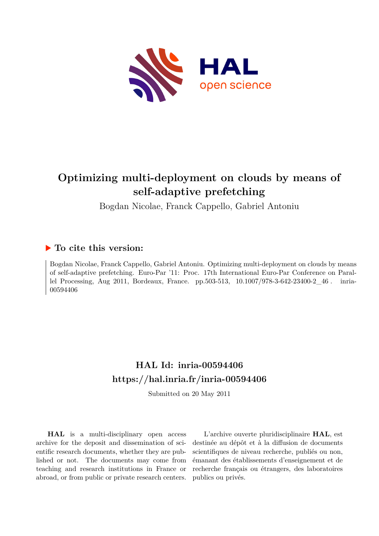

# **Optimizing multi-deployment on clouds by means of self-adaptive prefetching**

Bogdan Nicolae, Franck Cappello, Gabriel Antoniu

# **To cite this version:**

Bogdan Nicolae, Franck Cappello, Gabriel Antoniu. Optimizing multi-deployment on clouds by means of self-adaptive prefetching. Euro-Par '11: Proc. 17th International Euro-Par Conference on Parallel Processing, Aug 2011, Bordeaux, France. pp.503-513, 10.1007/978-3-642-23400-2\_46. inria-00594406

# **HAL Id: inria-00594406 <https://hal.inria.fr/inria-00594406>**

Submitted on 20 May 2011

**HAL** is a multi-disciplinary open access archive for the deposit and dissemination of scientific research documents, whether they are published or not. The documents may come from teaching and research institutions in France or abroad, or from public or private research centers.

L'archive ouverte pluridisciplinaire **HAL**, est destinée au dépôt et à la diffusion de documents scientifiques de niveau recherche, publiés ou non, émanant des établissements d'enseignement et de recherche français ou étrangers, des laboratoires publics ou privés.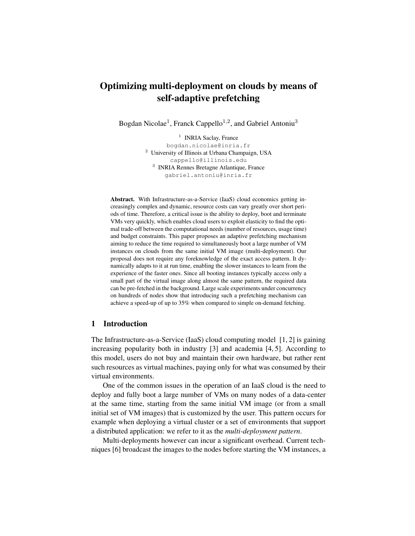# **Optimizing multi-deployment on clouds by means of self-adaptive prefetching**

Bogdan Nicolae<sup>1</sup>, Franck Cappello<sup>1,2</sup>, and Gabriel Antoniu<sup>3</sup>

<sup>1</sup> INRIA Saclay, France bogdan.nicolae@inria.fr <sup>2</sup> University of Illinois at Urbana Champaign, USA cappello@illinois.edu 3 INRIA Rennes Bretagne Atlantique, France gabriel.antoniu@inria.fr

**Abstract.** With Infrastructure-as-a-Service (IaaS) cloud economics getting increasingly complex and dynamic, resource costs can vary greatly over short periods of time. Therefore, a critical issue is the ability to deploy, boot and terminate VMs very quickly, which enables cloud users to exploit elasticity to find the optimal trade-off between the computational needs (number of resources, usage time) and budget constraints. This paper proposes an adaptive prefetching mechanism aiming to reduce the time required to simultaneously boot a large number of VM instances on clouds from the same initial VM image (multi-deployment). Our proposal does not require any foreknowledge of the exact access pattern. It dynamically adapts to it at run time, enabling the slower instances to learn from the experience of the faster ones. Since all booting instances typically access only a small part of the virtual image along almost the same pattern, the required data can be pre-fetched in the background. Large scale experiments under concurrency on hundreds of nodes show that introducing such a prefetching mechanism can achieve a speed-up of up to 35% when compared to simple on-demand fetching.

## **1 Introduction**

The Infrastructure-as-a-Service (IaaS) cloud computing model [1, 2] is gaining increasing popularity both in industry [3] and academia [4, 5]. According to this model, users do not buy and maintain their own hardware, but rather rent such resources as virtual machines, paying only for what was consumed by their virtual environments.

One of the common issues in the operation of an IaaS cloud is the need to deploy and fully boot a large number of VMs on many nodes of a data-center at the same time, starting from the same initial VM image (or from a small initial set of VM images) that is customized by the user. This pattern occurs for example when deploying a virtual cluster or a set of environments that support a distributed application: we refer to it as the *multi-deployment pattern*.

Multi-deployments however can incur a significant overhead. Current techniques [6] broadcast the images to the nodes before starting the VM instances, a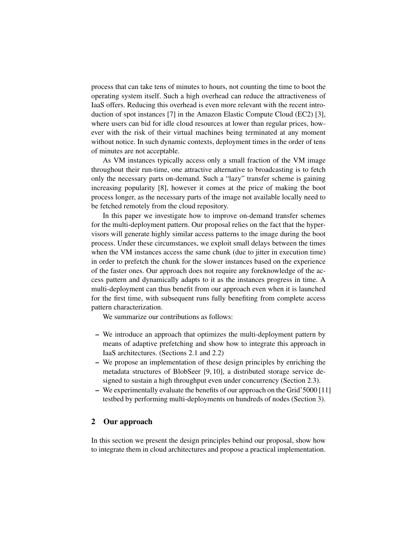process that can take tens of minutes to hours, not counting the time to boot the operating system itself. Such a high overhead can reduce the attractiveness of IaaS offers. Reducing this overhead is even more relevant with the recent introduction of spot instances [7] in the Amazon Elastic Compute Cloud (EC2) [3], where users can bid for idle cloud resources at lower than regular prices, however with the risk of their virtual machines being terminated at any moment without notice. In such dynamic contexts, deployment times in the order of tens of minutes are not acceptable.

As VM instances typically access only a small fraction of the VM image throughout their run-time, one attractive alternative to broadcasting is to fetch only the necessary parts on-demand. Such a "lazy" transfer scheme is gaining increasing popularity [8], however it comes at the price of making the boot process longer, as the necessary parts of the image not available locally need to be fetched remotely from the cloud repository.

In this paper we investigate how to improve on-demand transfer schemes for the multi-deployment pattern. Our proposal relies on the fact that the hypervisors will generate highly similar access patterns to the image during the boot process. Under these circumstances, we exploit small delays between the times when the VM instances access the same chunk (due to jitter in execution time) in order to prefetch the chunk for the slower instances based on the experience of the faster ones. Our approach does not require any foreknowledge of the access pattern and dynamically adapts to it as the instances progress in time. A multi-deployment can thus benefit from our approach even when it is launched for the first time, with subsequent runs fully benefiting from complete access pattern characterization.

We summarize our contributions as follows:

- **–** We introduce an approach that optimizes the multi-deployment pattern by means of adaptive prefetching and show how to integrate this approach in IaaS architectures. (Sections 2.1 and 2.2)
- **–** We propose an implementation of these design principles by enriching the metadata structures of BlobSeer [9, 10], a distributed storage service designed to sustain a high throughput even under concurrency (Section 2.3).
- **–** We experimentally evaluate the benefits of our approach on the Grid'5000 [11] testbed by performing multi-deployments on hundreds of nodes (Section 3).

### **2 Our approach**

In this section we present the design principles behind our proposal, show how to integrate them in cloud architectures and propose a practical implementation.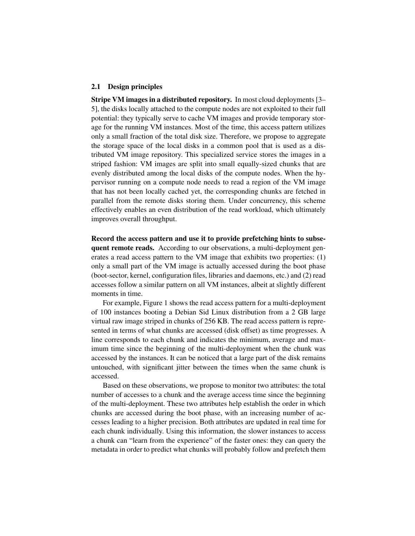#### **2.1 Design principles**

**Stripe VM images in a distributed repository.** In most cloud deployments [3– 5], the disks locally attached to the compute nodes are not exploited to their full potential: they typically serve to cache VM images and provide temporary storage for the running VM instances. Most of the time, this access pattern utilizes only a small fraction of the total disk size. Therefore, we propose to aggregate the storage space of the local disks in a common pool that is used as a distributed VM image repository. This specialized service stores the images in a striped fashion: VM images are split into small equally-sized chunks that are evenly distributed among the local disks of the compute nodes. When the hypervisor running on a compute node needs to read a region of the VM image that has not been locally cached yet, the corresponding chunks are fetched in parallel from the remote disks storing them. Under concurrency, this scheme effectively enables an even distribution of the read workload, which ultimately improves overall throughput.

**Record the access pattern and use it to provide prefetching hints to subsequent remote reads.** According to our observations, a multi-deployment generates a read access pattern to the VM image that exhibits two properties: (1) only a small part of the VM image is actually accessed during the boot phase (boot-sector, kernel, configuration files, libraries and daemons, etc.) and (2) read accesses follow a similar pattern on all VM instances, albeit at slightly different moments in time.

For example, Figure 1 shows the read access pattern for a multi-deployment of 100 instances booting a Debian Sid Linux distribution from a 2 GB large virtual raw image striped in chunks of 256 KB. The read access pattern is represented in terms of what chunks are accessed (disk offset) as time progresses. A line corresponds to each chunk and indicates the minimum, average and maximum time since the beginning of the multi-deployment when the chunk was accessed by the instances. It can be noticed that a large part of the disk remains untouched, with significant jitter between the times when the same chunk is accessed.

Based on these observations, we propose to monitor two attributes: the total number of accesses to a chunk and the average access time since the beginning of the multi-deployment. These two attributes help establish the order in which chunks are accessed during the boot phase, with an increasing number of accesses leading to a higher precision. Both attributes are updated in real time for each chunk individually. Using this information, the slower instances to access a chunk can "learn from the experience" of the faster ones: they can query the metadata in order to predict what chunks will probably follow and prefetch them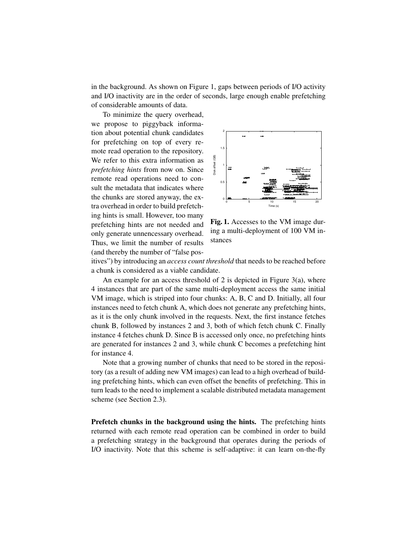in the background. As shown on Figure 1, gaps between periods of I/O activity and I/O inactivity are in the order of seconds, large enough enable prefetching of considerable amounts of data.

To minimize the query overhead, we propose to piggyback information about potential chunk candidates for prefetching on top of every remote read operation to the repository. We refer to this extra information as *prefetching hints* from now on. Since remote read operations need to consult the metadata that indicates where the chunks are stored anyway, the extra overhead in order to build prefetching hints is small. However, too many prefetching hints are not needed and only generate unnencessary overhead. Thus, we limit the number of results (and thereby the number of "false pos-



**Fig. 1.** Accesses to the VM image during a multi-deployment of 100 VM instances

itives") by introducing an *access count threshold* that needs to be reached before a chunk is considered as a viable candidate.

An example for an access threshold of 2 is depicted in Figure 3(a), where 4 instances that are part of the same multi-deployment access the same initial VM image, which is striped into four chunks: A, B, C and D. Initially, all four instances need to fetch chunk A, which does not generate any prefetching hints, as it is the only chunk involved in the requests. Next, the first instance fetches chunk B, followed by instances 2 and 3, both of which fetch chunk C. Finally instance 4 fetches chunk D. Since B is accessed only once, no prefetching hints are generated for instances 2 and 3, while chunk C becomes a prefetching hint for instance 4.

Note that a growing number of chunks that need to be stored in the repository (as a result of adding new VM images) can lead to a high overhead of building prefetching hints, which can even offset the benefits of prefetching. This in turn leads to the need to implement a scalable distributed metadata management scheme (see Section 2.3).

**Prefetch chunks in the background using the hints.** The prefetching hints returned with each remote read operation can be combined in order to build a prefetching strategy in the background that operates during the periods of I/O inactivity. Note that this scheme is self-adaptive: it can learn on-the-fly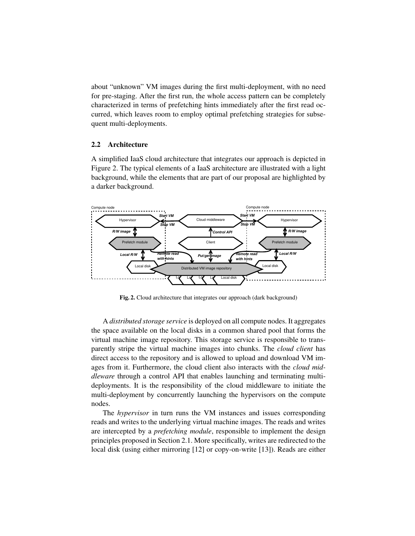about "unknown" VM images during the first multi-deployment, with no need for pre-staging. After the first run, the whole access pattern can be completely characterized in terms of prefetching hints immediately after the first read occurred, which leaves room to employ optimal prefetching strategies for subsequent multi-deployments.

### **2.2 Architecture**

A simplified IaaS cloud architecture that integrates our approach is depicted in Figure 2. The typical elements of a IaaS architecture are illustrated with a light background, while the elements that are part of our proposal are highlighted by a darker background.



**Fig. 2.** Cloud architecture that integrates our approach (dark background)

A *distributed storage service* is deployed on all compute nodes. It aggregates the space available on the local disks in a common shared pool that forms the virtual machine image repository. This storage service is responsible to transparently stripe the virtual machine images into chunks. The *cloud client* has direct access to the repository and is allowed to upload and download VM images from it. Furthermore, the cloud client also interacts with the *cloud middleware* through a control API that enables launching and terminating multideployments. It is the responsibility of the cloud middleware to initiate the multi-deployment by concurrently launching the hypervisors on the compute nodes.

The *hypervisor* in turn runs the VM instances and issues corresponding reads and writes to the underlying virtual machine images. The reads and writes are intercepted by a *prefetching module*, responsible to implement the design principles proposed in Section 2.1. More specifically, writes are redirected to the local disk (using either mirroring [12] or copy-on-write [13]). Reads are either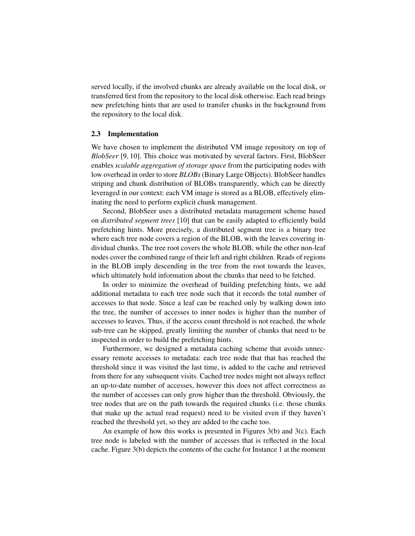served locally, if the involved chunks are already available on the local disk, or transferred first from the repository to the local disk otherwise. Each read brings new prefetching hints that are used to transfer chunks in the background from the repository to the local disk.

### **2.3 Implementation**

We have chosen to implement the distributed VM image repository on top of *BlobSeer* [9, 10]. This choice was motivated by several factors. First, BlobSeer enables *scalable aggregation of storage space* from the participating nodes with low overhead in order to store *BLOBs*(Binary Large OBjects). BlobSeer handles striping and chunk distribution of BLOBs transparently, which can be directly leveraged in our context: each VM image is stored as a BLOB, effectively eliminating the need to perform explicit chunk management.

Second, BlobSeer uses a distributed metadata management scheme based on *distributed segment trees* [10] that can be easily adapted to efficiently build prefetching hints. More precisely, a distributed segment tree is a binary tree where each tree node covers a region of the BLOB, with the leaves covering individual chunks. The tree root covers the whole BLOB, while the other non-leaf nodes cover the combined range of their left and right children. Reads of regions in the BLOB imply descending in the tree from the root towards the leaves, which ultimately hold information about the chunks that need to be fetched.

In order to minimize the overhead of building prefetching hints, we add additional metadata to each tree node such that it records the total number of accesses to that node. Since a leaf can be reached only by walking down into the tree, the number of accesses to inner nodes is higher than the number of accesses to leaves. Thus, if the access count threshold is not reached, the whole sub-tree can be skipped, greatly limiting the number of chunks that need to be inspected in order to build the prefetching hints.

Furthermore, we designed a metadata caching scheme that avoids unnecessary remote accesses to metadata: each tree node that that has reached the threshold since it was visited the last time, is added to the cache and retrieved from there for any subsequent visits. Cached tree nodes might not always reflect an up-to-date number of accesses, however this does not affect correctness as the number of accesses can only grow higher than the threshold. Obviously, the tree nodes that are on the path towards the required chunks (i.e. those chunks that make up the actual read request) need to be visited even if they haven't reached the threshold yet, so they are added to the cache too.

An example of how this works is presented in Figures  $3(b)$  and  $3(c)$ . Each tree node is labeled with the number of accesses that is reflected in the local cache. Figure 3(b) depicts the contents of the cache for Instance 1 at the moment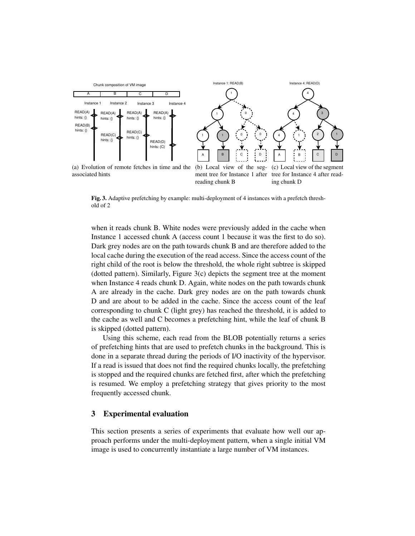

**Fig. 3.** Adaptive prefetching by example: multi-deployment of 4 instances with a prefetch threshold of 2

when it reads chunk B. White nodes were previously added in the cache when Instance 1 accessed chunk A (access count 1 because it was the first to do so). Dark grey nodes are on the path towards chunk B and are therefore added to the local cache during the execution of the read access. Since the access count of the right child of the root is below the threshold, the whole right subtree is skipped (dotted pattern). Similarly, Figure 3(c) depicts the segment tree at the moment when Instance 4 reads chunk D. Again, white nodes on the path towards chunk A are already in the cache. Dark grey nodes are on the path towards chunk D and are about to be added in the cache. Since the access count of the leaf corresponding to chunk C (light grey) has reached the threshold, it is added to the cache as well and C becomes a prefetching hint, while the leaf of chunk B is skipped (dotted pattern).

Using this scheme, each read from the BLOB potentially returns a series of prefetching hints that are used to prefetch chunks in the background. This is done in a separate thread during the periods of I/O inactivity of the hypervisor. If a read is issued that does not find the required chunks locally, the prefetching is stopped and the required chunks are fetched first, after which the prefetching is resumed. We employ a prefetching strategy that gives priority to the most frequently accessed chunk.

#### **3 Experimental evaluation**

This section presents a series of experiments that evaluate how well our approach performs under the multi-deployment pattern, when a single initial VM image is used to concurrently instantiate a large number of VM instances.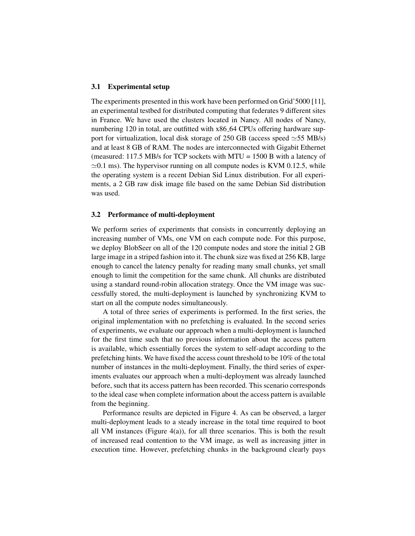#### **3.1 Experimental setup**

The experiments presented in this work have been performed on Grid'5000 [11], an experimental testbed for distributed computing that federates 9 different sites in France. We have used the clusters located in Nancy. All nodes of Nancy, numbering 120 in total, are outfitted with x86\_64 CPUs offering hardware support for virtualization, local disk storage of 250 GB (access speed  $\simeq$ 55 MB/s) and at least 8 GB of RAM. The nodes are interconnected with Gigabit Ethernet (measured: 117.5 MB/s for TCP sockets with MTU = 1500 B with a latency of  $\approx$ 0.1 ms). The hypervisor running on all compute nodes is KVM 0.12.5, while the operating system is a recent Debian Sid Linux distribution. For all experiments, a 2 GB raw disk image file based on the same Debian Sid distribution was used.

#### **3.2 Performance of multi-deployment**

We perform series of experiments that consists in concurrently deploying an increasing number of VMs, one VM on each compute node. For this purpose, we deploy BlobSeer on all of the 120 compute nodes and store the initial 2 GB large image in a striped fashion into it. The chunk size was fixed at 256 KB, large enough to cancel the latency penalty for reading many small chunks, yet small enough to limit the competition for the same chunk. All chunks are distributed using a standard round-robin allocation strategy. Once the VM image was successfully stored, the multi-deployment is launched by synchronizing KVM to start on all the compute nodes simultaneously.

A total of three series of experiments is performed. In the first series, the original implementation with no prefetching is evaluated. In the second series of experiments, we evaluate our approach when a multi-deployment is launched for the first time such that no previous information about the access pattern is available, which essentially forces the system to self-adapt according to the prefetching hints. We have fixed the access count threshold to be 10% of the total number of instances in the multi-deployment. Finally, the third series of experiments evaluates our approach when a multi-deployment was already launched before, such that its access pattern has been recorded. This scenario corresponds to the ideal case when complete information about the access pattern is available from the beginning.

Performance results are depicted in Figure 4. As can be observed, a larger multi-deployment leads to a steady increase in the total time required to boot all VM instances (Figure 4(a)), for all three scenarios. This is both the result of increased read contention to the VM image, as well as increasing jitter in execution time. However, prefetching chunks in the background clearly pays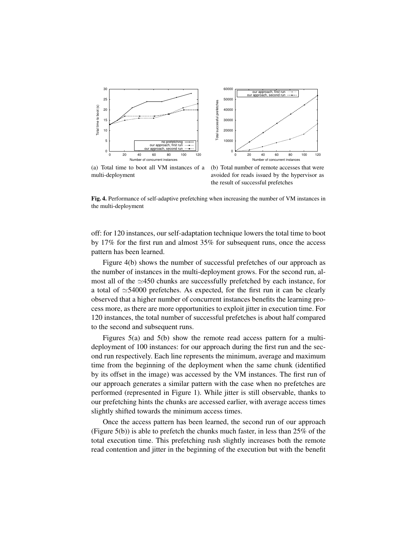



(a) Total time to boot all VM instances of a multi-deployment

(b) Total number of remote accesses that were avoided for reads issued by the hypervisor as the result of successful prefetches

**Fig. 4.** Performance of self-adaptive prefetching when increasing the number of VM instances in the multi-deployment

off: for 120 instances, our self-adaptation technique lowers the total time to boot by 17% for the first run and almost 35% for subsequent runs, once the access pattern has been learned.

Figure 4(b) shows the number of successful prefetches of our approach as the number of instances in the multi-deployment grows. For the second run, almost all of the ≃450 chunks are successfully prefetched by each instance, for a total of ≃54000 prefetches. As expected, for the first run it can be clearly observed that a higher number of concurrent instances benefits the learning process more, as there are more opportunities to exploit jitter in execution time. For 120 instances, the total number of successful prefetches is about half compared to the second and subsequent runs.

Figures 5(a) and 5(b) show the remote read access pattern for a multideployment of 100 instances: for our approach during the first run and the second run respectively. Each line represents the minimum, average and maximum time from the beginning of the deployment when the same chunk (identified by its offset in the image) was accessed by the VM instances. The first run of our approach generates a similar pattern with the case when no prefetches are performed (represented in Figure 1). While jitter is still observable, thanks to our prefetching hints the chunks are accessed earlier, with average access times slightly shifted towards the minimum access times.

Once the access pattern has been learned, the second run of our approach (Figure 5(b)) is able to prefetch the chunks much faster, in less than 25% of the total execution time. This prefetching rush slightly increases both the remote read contention and jitter in the beginning of the execution but with the benefit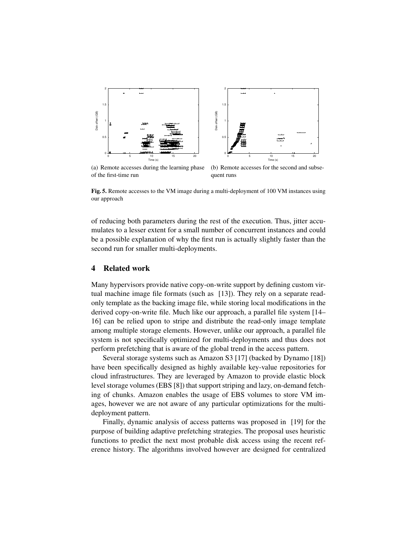

(a) Remote accesses during the learning phase of the first-time run

(b) Remote accesses for the second and subsequent runs

**Fig. 5.** Remote accesses to the VM image during a multi-deployment of 100 VM instances using our approach

of reducing both parameters during the rest of the execution. Thus, jitter accumulates to a lesser extent for a small number of concurrent instances and could be a possible explanation of why the first run is actually slightly faster than the second run for smaller multi-deployments.

## **4 Related work**

Many hypervisors provide native copy-on-write support by defining custom virtual machine image file formats (such as [13]). They rely on a separate readonly template as the backing image file, while storing local modifications in the derived copy-on-write file. Much like our approach, a parallel file system [14– 16] can be relied upon to stripe and distribute the read-only image template among multiple storage elements. However, unlike our approach, a parallel file system is not specifically optimized for multi-deployments and thus does not perform prefetching that is aware of the global trend in the access pattern.

Several storage systems such as Amazon S3 [17] (backed by Dynamo [18]) have been specifically designed as highly available key-value repositories for cloud infrastructures. They are leveraged by Amazon to provide elastic block level storage volumes (EBS [8]) that support striping and lazy, on-demand fetching of chunks. Amazon enables the usage of EBS volumes to store VM images, however we are not aware of any particular optimizations for the multideployment pattern.

Finally, dynamic analysis of access patterns was proposed in [19] for the purpose of building adaptive prefetching strategies. The proposal uses heuristic functions to predict the next most probable disk access using the recent reference history. The algorithms involved however are designed for centralized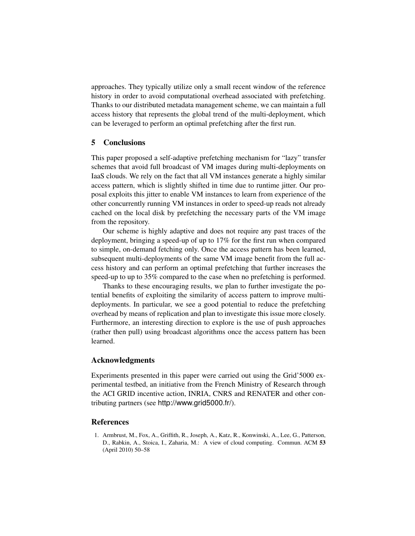approaches. They typically utilize only a small recent window of the reference history in order to avoid computational overhead associated with prefetching. Thanks to our distributed metadata management scheme, we can maintain a full access history that represents the global trend of the multi-deployment, which can be leveraged to perform an optimal prefetching after the first run.

#### **5 Conclusions**

This paper proposed a self-adaptive prefetching mechanism for "lazy" transfer schemes that avoid full broadcast of VM images during multi-deployments on IaaS clouds. We rely on the fact that all VM instances generate a highly similar access pattern, which is slightly shifted in time due to runtime jitter. Our proposal exploits this jitter to enable VM instances to learn from experience of the other concurrently running VM instances in order to speed-up reads not already cached on the local disk by prefetching the necessary parts of the VM image from the repository.

Our scheme is highly adaptive and does not require any past traces of the deployment, bringing a speed-up of up to 17% for the first run when compared to simple, on-demand fetching only. Once the access pattern has been learned, subsequent multi-deployments of the same VM image benefit from the full access history and can perform an optimal prefetching that further increases the speed-up to up to 35% compared to the case when no prefetching is performed.

Thanks to these encouraging results, we plan to further investigate the potential benefits of exploiting the similarity of access pattern to improve multideployments. In particular, we see a good potential to reduce the prefetching overhead by means of replication and plan to investigate this issue more closely. Furthermore, an interesting direction to explore is the use of push approaches (rather then pull) using broadcast algorithms once the access pattern has been learned.

#### **Acknowledgments**

Experiments presented in this paper were carried out using the Grid'5000 experimental testbed, an initiative from the French Ministry of Research through the ACI GRID incentive action, INRIA, CNRS and RENATER and other contributing partners (see http://www.grid5000.fr/).

#### **References**

1. Armbrust, M., Fox, A., Griffith, R., Joseph, A., Katz, R., Konwinski, A., Lee, G., Patterson, D., Rabkin, A., Stoica, I., Zaharia, M.: A view of cloud computing. Commun. ACM **53** (April 2010) 50–58